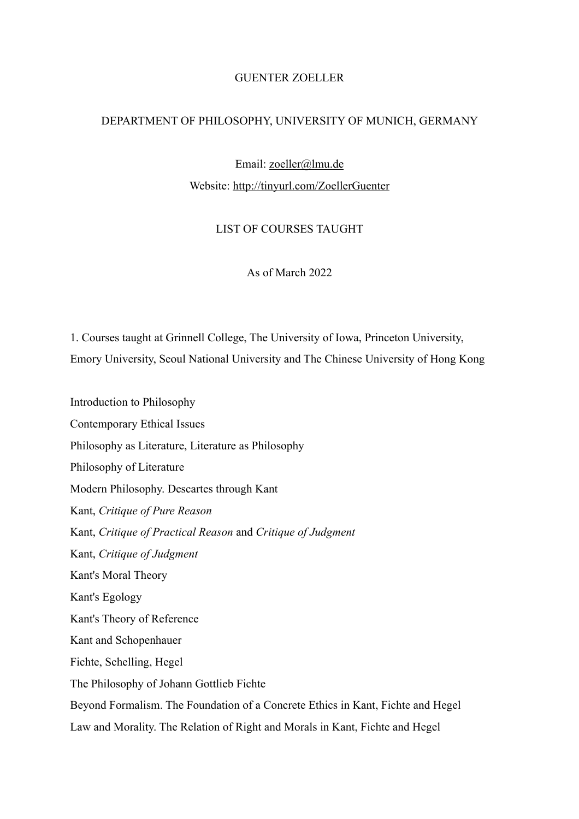# GUENTER ZOELLER

#### DEPARTMENT OF PHILOSOPHY, UNIVERSITY OF MUNICH, GERMANY

Email: [zoeller@lmu.de](mailto:zoeller@lmu.de) Website:<http://tinyurl.com/ZoellerGuenter>

# LIST OF COURSES TAUGHT

As of March 2022

1. Courses taught at Grinnell College, The University of Iowa, Princeton University, Emory University, Seoul National University and The Chinese University of Hong Kong

Introduction to Philosophy Contemporary Ethical Issues Philosophy as Literature, Literature as Philosophy Philosophy of Literature Modern Philosophy. Descartes through Kant Kant, *Critique of Pure Reason* Kant, *Critique of Practical Reason* and *Critique of Judgment* Kant, *Critique of Judgment* Kant's Moral Theory Kant's Egology Kant's Theory of Reference Kant and Schopenhauer Fichte, Schelling, Hegel The Philosophy of Johann Gottlieb Fichte Beyond Formalism. The Foundation of a Concrete Ethics in Kant, Fichte and Hegel Law and Morality. The Relation of Right and Morals in Kant, Fichte and Hegel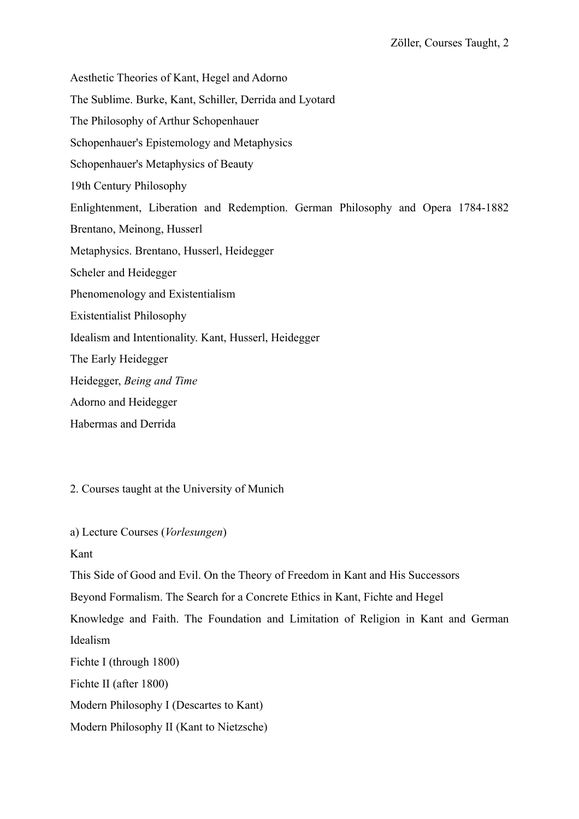Aesthetic Theories of Kant, Hegel and Adorno The Sublime. Burke, Kant, Schiller, Derrida and Lyotard The Philosophy of Arthur Schopenhauer Schopenhauer's Epistemology and Metaphysics Schopenhauer's Metaphysics of Beauty 19th Century Philosophy Enlightenment, Liberation and Redemption. German Philosophy and Opera 1784-1882 Brentano, Meinong, Husserl Metaphysics. Brentano, Husserl, Heidegger Scheler and Heidegger Phenomenology and Existentialism Existentialist Philosophy Idealism and Intentionality. Kant, Husserl, Heidegger The Early Heidegger Heidegger, *Being and Time* Adorno and Heidegger

Habermas and Derrida

2. Courses taught at the University of Munich

a) Lecture Courses (*Vorlesungen*)

Kant

This Side of Good and Evil. On the Theory of Freedom in Kant and His Successors

Beyond Formalism. The Search for a Concrete Ethics in Kant, Fichte and Hegel

Knowledge and Faith. The Foundation and Limitation of Religion in Kant and German Idealism

Fichte I (through 1800)

Fichte II (after 1800)

Modern Philosophy I (Descartes to Kant)

Modern Philosophy II (Kant to Nietzsche)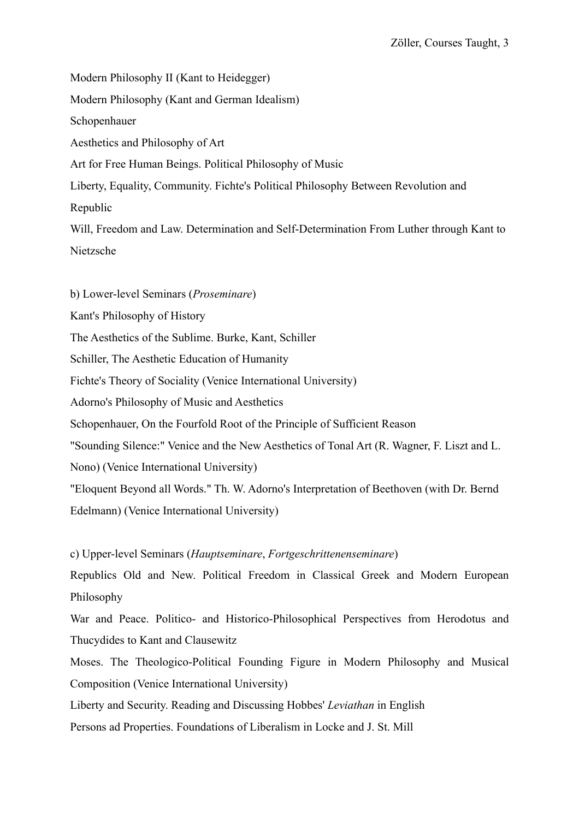Modern Philosophy II (Kant to Heidegger) Modern Philosophy (Kant and German Idealism) Schopenhauer Aesthetics and Philosophy of Art Art for Free Human Beings. Political Philosophy of Music Liberty, Equality, Community. Fichte's Political Philosophy Between Revolution and Republic Will, Freedom and Law. Determination and Self-Determination From Luther through Kant to Nietzsche

b) Lower-level Seminars (*Proseminare*) Kant's Philosophy of History The Aesthetics of the Sublime. Burke, Kant, Schiller Schiller, The Aesthetic Education of Humanity Fichte's Theory of Sociality (Venice International University) Adorno's Philosophy of Music and Aesthetics Schopenhauer, On the Fourfold Root of the Principle of Sufficient Reason "Sounding Silence:" Venice and the New Aesthetics of Tonal Art (R. Wagner, F. Liszt and L. Nono) (Venice International University) "Eloquent Beyond all Words." Th. W. Adorno's Interpretation of Beethoven (with Dr. Bernd Edelmann) (Venice International University)

c) Upper-level Seminars (*Hauptseminare*, *Fortgeschrittenenseminare*)

Republics Old and New. Political Freedom in Classical Greek and Modern European Philosophy

War and Peace. Politico- and Historico-Philosophical Perspectives from Herodotus and Thucydides to Kant and Clausewitz

Moses. The Theologico-Political Founding Figure in Modern Philosophy and Musical Composition (Venice International University)

Liberty and Security. Reading and Discussing Hobbes' *Leviathan* in English

Persons ad Properties. Foundations of Liberalism in Locke and J. St. Mill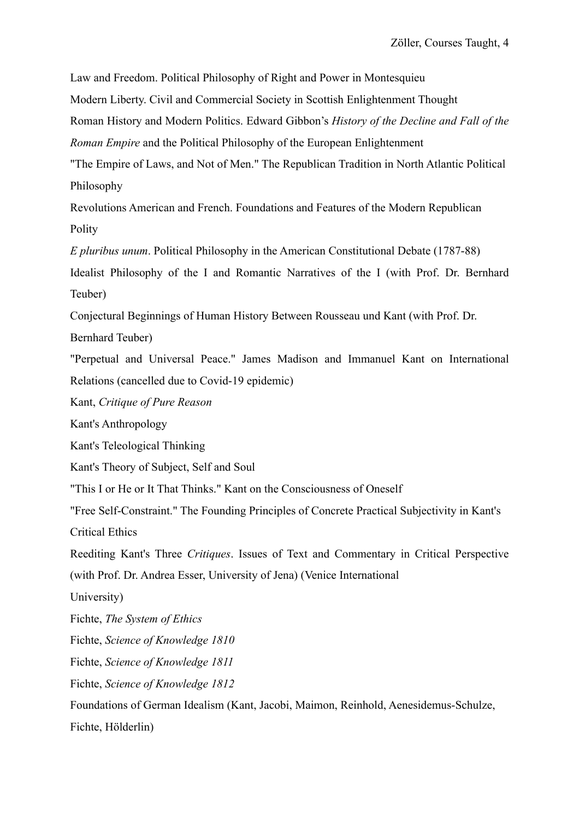Law and Freedom. Political Philosophy of Right and Power in Montesquieu

Modern Liberty. Civil and Commercial Society in Scottish Enlightenment Thought

Roman History and Modern Politics. Edward Gibbon's *History of the Decline and Fall of the Roman Empire* and the Political Philosophy of the European Enlightenment

"The Empire of Laws, and Not of Men." The Republican Tradition in North Atlantic Political Philosophy

Revolutions American and French. Foundations and Features of the Modern Republican Polity

*E pluribus unum*. Political Philosophy in the American Constitutional Debate (1787-88)

Idealist Philosophy of the I and Romantic Narratives of the I (with Prof. Dr. Bernhard Teuber)

Conjectural Beginnings of Human History Between Rousseau und Kant (with Prof. Dr.

Bernhard Teuber)

"Perpetual and Universal Peace." James Madison and Immanuel Kant on International Relations (cancelled due to Covid-19 epidemic)

Kant, *Critique of Pure Reason*

Kant's Anthropology

Kant's Teleological Thinking

Kant's Theory of Subject, Self and Soul

"This I or He or It That Thinks." Kant on the Consciousness of Oneself

"Free Self-Constraint." The Founding Principles of Concrete Practical Subjectivity in Kant's

Critical Ethics

Reediting Kant's Three *Critiques*. Issues of Text and Commentary in Critical Perspective

(with Prof. Dr. Andrea Esser, University of Jena) (Venice International

University)

Fichte, *The System of Ethics*

Fichte, *Science of Knowledge 1810*

Fichte, *Science of Knowledge 1811*

Fichte, *Science of Knowledge 1812*

Foundations of German Idealism (Kant, Jacobi, Maimon, Reinhold, Aenesidemus-Schulze,

Fichte, Hölderlin)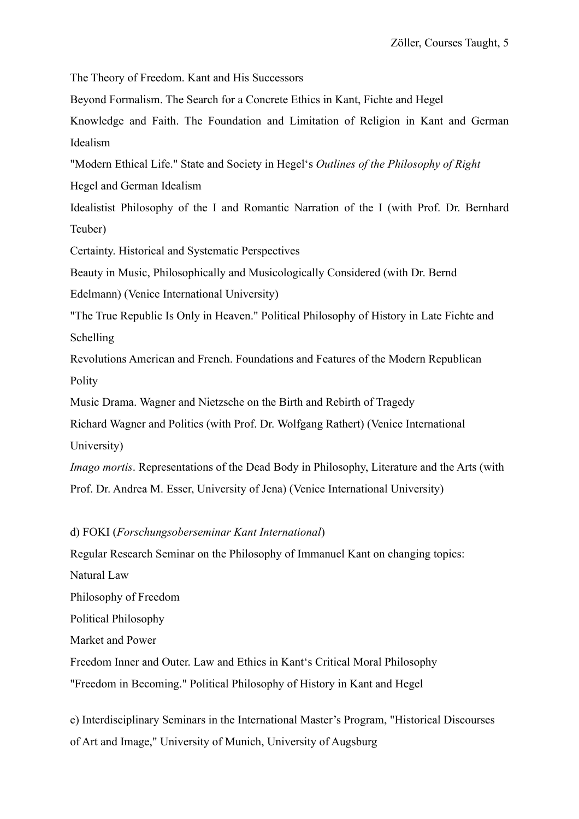The Theory of Freedom. Kant and His Successors

Beyond Formalism. The Search for a Concrete Ethics in Kant, Fichte and Hegel

Knowledge and Faith. The Foundation and Limitation of Religion in Kant and German Idealism

"Modern Ethical Life." State and Society in Hegel's *Outlines of the Philosophy of Right*

Hegel and German Idealism

Idealistist Philosophy of the I and Romantic Narration of the I (with Prof. Dr. Bernhard Teuber)

Certainty. Historical and Systematic Perspectives

Beauty in Music, Philosophically and Musicologically Considered (with Dr. Bernd

Edelmann) (Venice International University)

"The True Republic Is Only in Heaven." Political Philosophy of History in Late Fichte and Schelling

Revolutions American and French. Foundations and Features of the Modern Republican Polity

Music Drama. Wagner and Nietzsche on the Birth and Rebirth of Tragedy

Richard Wagner and Politics (with Prof. Dr. Wolfgang Rathert) (Venice International University)

*Imago mortis*. Representations of the Dead Body in Philosophy, Literature and the Arts (with Prof. Dr. Andrea M. Esser, University of Jena) (Venice International University)

#### d) FOKI (*Forschungsoberseminar Kant International*)

Regular Research Seminar on the Philosophy of Immanuel Kant on changing topics:

Natural Law

Philosophy of Freedom

Political Philosophy

Market and Power

Freedom Inner and Outer. Law and Ethics in Kant's Critical Moral Philosophy

"Freedom in Becoming." Political Philosophy of History in Kant and Hegel

e) Interdisciplinary Seminars in the International Master's Program, "Historical Discourses of Art and Image," University of Munich, University of Augsburg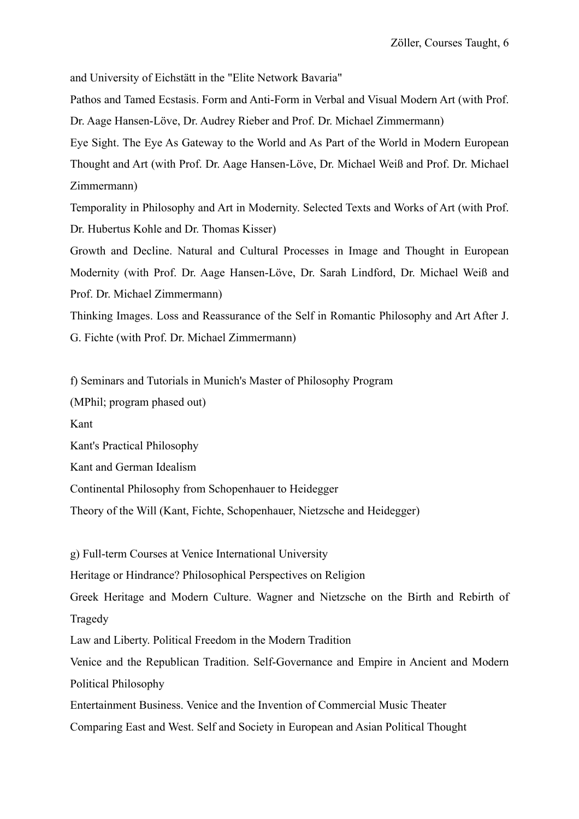and University of Eichstätt in the "Elite Network Bavaria"

Pathos and Tamed Ecstasis. Form and Anti-Form in Verbal and Visual Modern Art (with Prof. Dr. Aage Hansen-Löve, Dr. Audrey Rieber and Prof. Dr. Michael Zimmermann)

Eye Sight. The Eye As Gateway to the World and As Part of the World in Modern European Thought and Art (with Prof. Dr. Aage Hansen-Löve, Dr. Michael Weiß and Prof. Dr. Michael Zimmermann)

Temporality in Philosophy and Art in Modernity. Selected Texts and Works of Art (with Prof. Dr. Hubertus Kohle and Dr. Thomas Kisser)

Growth and Decline. Natural and Cultural Processes in Image and Thought in European Modernity (with Prof. Dr. Aage Hansen-Löve, Dr. Sarah Lindford, Dr. Michael Weiß and Prof. Dr. Michael Zimmermann)

Thinking Images. Loss and Reassurance of the Self in Romantic Philosophy and Art After J. G. Fichte (with Prof. Dr. Michael Zimmermann)

f) Seminars and Tutorials in Munich's Master of Philosophy Program

(MPhil; program phased out)

Kant

Kant's Practical Philosophy

Kant and German Idealism

Continental Philosophy from Schopenhauer to Heidegger

Theory of the Will (Kant, Fichte, Schopenhauer, Nietzsche and Heidegger)

g) Full-term Courses at Venice International University Heritage or Hindrance? Philosophical Perspectives on Religion Greek Heritage and Modern Culture. Wagner and Nietzsche on the Birth and Rebirth of Tragedy Law and Liberty. Political Freedom in the Modern Tradition Venice and the Republican Tradition. Self-Governance and Empire in Ancient and Modern Political Philosophy

Entertainment Business. Venice and the Invention of Commercial Music Theater

Comparing East and West. Self and Society in European and Asian Political Thought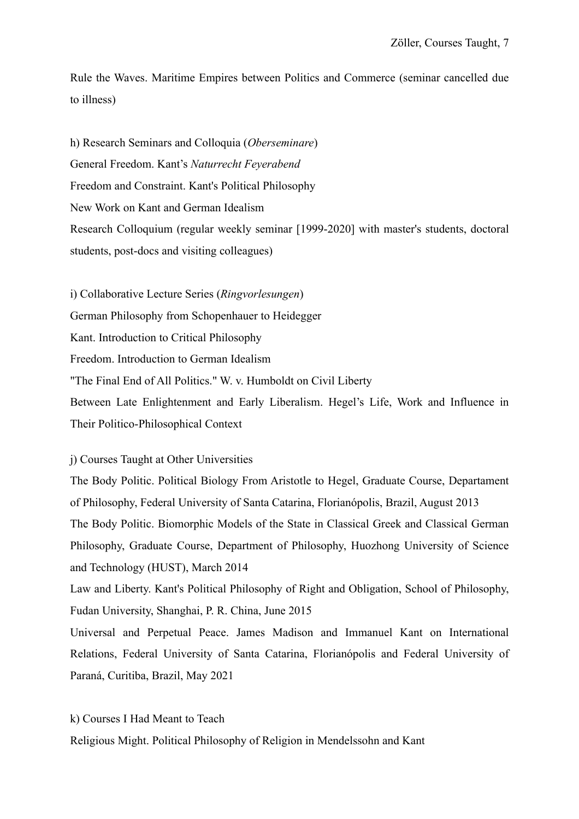Rule the Waves. Maritime Empires between Politics and Commerce (seminar cancelled due to illness)

h) Research Seminars and Colloquia (*Oberseminare*) General Freedom. Kant's *Naturrecht Feyerabend* Freedom and Constraint. Kant's Political Philosophy New Work on Kant and German Idealism Research Colloquium (regular weekly seminar [1999-2020] with master's students, doctoral students, post-docs and visiting colleagues)

i) Collaborative Lecture Series (*Ringvorlesungen*) German Philosophy from Schopenhauer to Heidegger Kant. Introduction to Critical Philosophy Freedom. Introduction to German Idealism "The Final End of All Politics." W. v. Humboldt on Civil Liberty Between Late Enlightenment and Early Liberalism. Hegel's Life, Work and Influence in Their Politico-Philosophical Context

### j) Courses Taught at Other Universities

The Body Politic. Political Biology From Aristotle to Hegel, Graduate Course, Departament of Philosophy, Federal University of Santa Catarina, Florianópolis, Brazil, August 2013 The Body Politic. Biomorphic Models of the State in Classical Greek and Classical German Philosophy, Graduate Course, Department of Philosophy, Huozhong University of Science and Technology (HUST), March 2014

Law and Liberty. Kant's Political Philosophy of Right and Obligation, School of Philosophy, Fudan University, Shanghai, P. R. China, June 2015

Universal and Perpetual Peace. James Madison and Immanuel Kant on International Relations, Federal University of Santa Catarina, Florianópolis and Federal University of Paraná, Curitiba, Brazil, May 2021

k) Courses I Had Meant to Teach

Religious Might. Political Philosophy of Religion in Mendelssohn and Kant